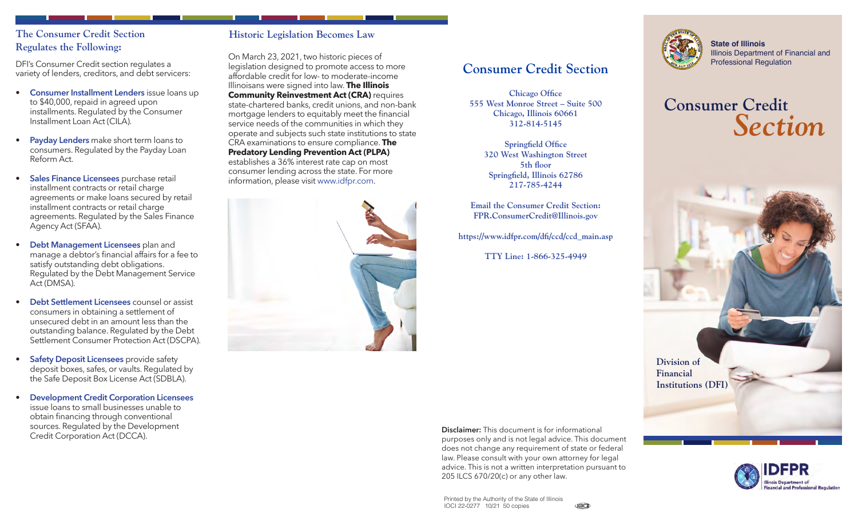#### **The Consumer Credit Section Regulates the Following:**

DFI's Consumer Credit section regulates a variety of lenders, creditors, and debt servicers:

- **Consumer Installment Lenders** issue loans up to \$40,000, repaid in agreed upon installments. Regulated by the Consumer Installment Loan Act (CILA).
- **Payday Lenders** make short term loans to consumers. Regulated by the Payday Loan Reform Act.
- **Sales Finance Licensees** purchase retail installment contracts or retail charge agreements or make loans secured by retail installment contracts or retail charge agreements. Regulated by the Sales Finance Agency Act (SFAA).
- **Debt Management Licensees** plan and manage a debtor's financial affairs for a fee to satisfy outstanding debt obligations. Regulated by the Debt Management Service Act (DMSA).
- **Debt Settlement Licensees** counsel or assist consumers in obtaining a settlement of unsecured debt in an amount less than the outstanding balance. Regulated by the Debt Settlement Consumer Protection Act (DSCPA).
- **Safety Deposit Licensees** provide safety deposit boxes, safes, or vaults. Regulated by the Safe Deposit Box License Act (SDBLA).
- **Development Credit Corporation Licensees** issue loans to small businesses unable to obtain financing through conventional sources. Regulated by the Development Credit Corporation Act (DCCA).

#### **Historic Legislation Becomes Law**

On March 23, 2021, two historic pieces of legislation designed to promote access to more affordable credit for low- to moderate-income Illinoisans were signed into law. **The Illinois Community Reinvestment Act (CRA) requires** state-chartered banks, credit unions, and non-bank mortgage lenders to equitably meet the financial service needs of the communities in which they operate and subjects such state institutions to state CRA examinations to ensure compliance. **The Predatory Lending Prevention Act (PLPA)** establishes a 36% interest rate cap on most consumer lending across the state. For more information, please visit [www.idfpr.com.](http://www.idfpr.com)



## **Consumer Credit Section**

**Chicago Office 555 West Monroe Street – Suite 500 Chicago, Illinois 60661 312-814-5145**

> **Springfield Office 320 West Washington Street 5th floor Springfield, Illinois 62786 217-785-4244**

**Email the Consumer Credit Section: FPR.ConsumerCredit@Illinois.gov**

**[https://www.idfpr.com/dfi/ccd/ccd\\_main.asp](https://www.idfpr.com/dfi/ccd/ccd_main.asp)**

**TTY Line: 1-866-325-4949**



**State of Illinois** Illinois Department of Financial and<br>Professional Regulation

# **Consumer Credit** *Section*





205 ILCS 670/20(c) or any other law.

**Disclaimer:** This document is for informational purposes only and is not legal advice. This document does not change any requirement of state or federal law. Please consult with your own attorney for legal advice. This is not a written interpretation pursuant to